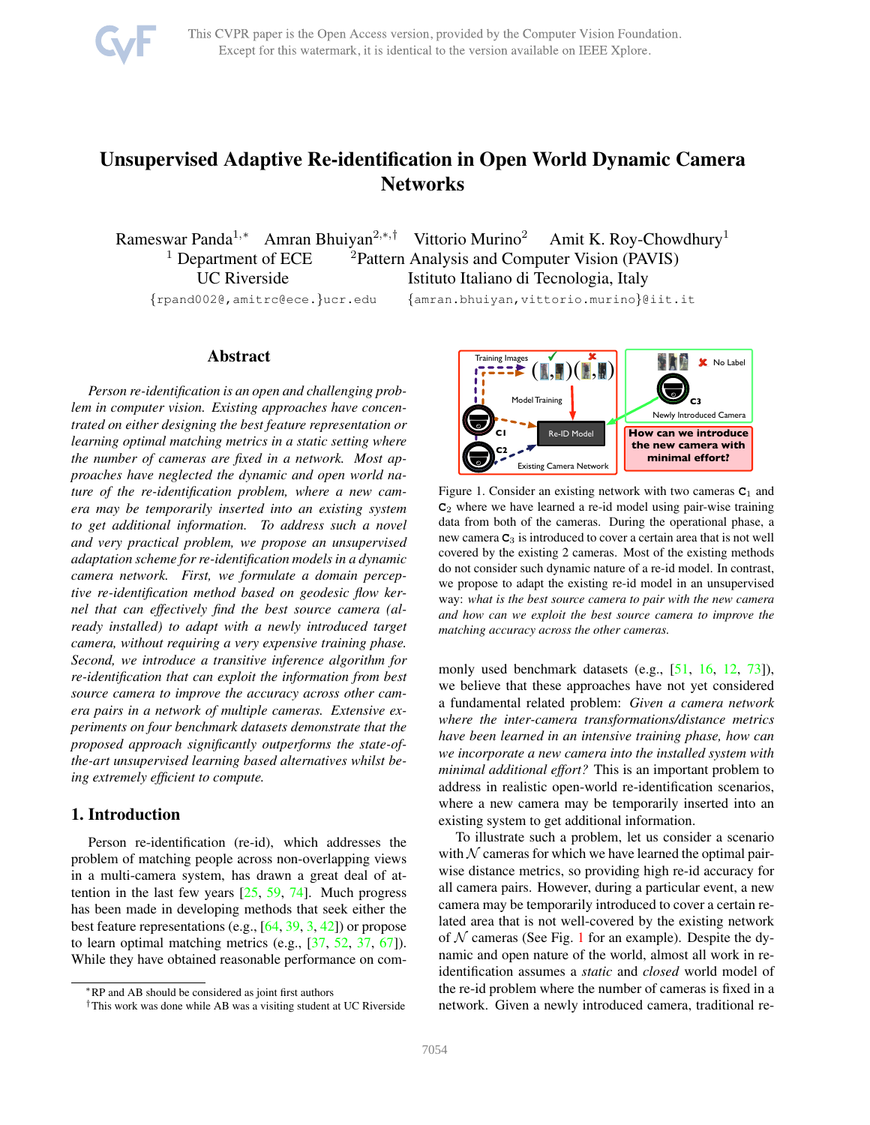

# <span id="page-0-1"></span>Unsupervised Adaptive Re-identification in Open World Dynamic Camera **Networks**

Rameswar Panda<sup>1,∗</sup> Amran Bhuiyan<sup>2,∗,†</sup> Vittorio Murino<sup>2</sup> Amit K. Roy-Chowdhury<sup>1</sup> <sup>1</sup> Department of ECE <sup>2</sup>Pattern Analysis and Computer Vision (PAVIS) UC Riverside Istituto Italiano di Tecnologia, Italy

{rpand002@,amitrc@ece.}ucr.edu {amran.bhuiyan,vittorio.murino}@iit.it

# Abstract

*Person re-identification is an open and challenging problem in computer vision. Existing approaches have concentrated on either designing the best feature representation or learning optimal matching metrics in a static setting where the number of cameras are fixed in a network. Most approaches have neglected the dynamic and open world nature of the re-identification problem, where a new camera may be temporarily inserted into an existing system to get additional information. To address such a novel and very practical problem, we propose an unsupervised adaptation scheme for re-identification models in a dynamic camera network. First, we formulate a domain perceptive re-identification method based on geodesic flow kernel that can effectively find the best source camera (already installed) to adapt with a newly introduced target camera, without requiring a very expensive training phase. Second, we introduce a transitive inference algorithm for re-identification that can exploit the information from best source camera to improve the accuracy across other camera pairs in a network of multiple cameras. Extensive experiments on four benchmark datasets demonstrate that the proposed approach significantly outperforms the state-ofthe-art unsupervised learning based alternatives whilst being extremely efficient to compute.*

# 1. Introduction

Person re-identification (re-id), which addresses the problem of matching people across non-overlapping views in a multi-camera system, has drawn a great deal of attention in the last few years [\[25,](#page-8-0) [59,](#page-9-0) [74\]](#page-9-1). Much progress has been made in developing methods that seek either the best feature representations (e.g., [\[64,](#page-9-2) [39,](#page-9-3) [3,](#page-8-1) [42\]](#page-9-4)) or propose to learn optimal matching metrics (e.g., [\[37,](#page-8-2) [52,](#page-9-5) [37,](#page-8-2) [67\]](#page-9-6)). While they have obtained reasonable performance on com-



<span id="page-0-0"></span>Figure 1. Consider an existing network with two cameras  $C_1$  and **C**<sup>2</sup> where we have learned a re-id model using pair-wise training data from both of the cameras. During the operational phase, a new camera **C**<sup>3</sup> is introduced to cover a certain area that is not well covered by the existing 2 cameras. Most of the existing methods do not consider such dynamic nature of a re-id model. In contrast, we propose to adapt the existing re-id model in an unsupervised way: *what is the best source camera to pair with the new camera and how can we exploit the best source camera to improve the matching accuracy across the other cameras.*

monly used benchmark datasets (e.g., [\[51,](#page-9-7) [16,](#page-8-3) [12,](#page-8-4) [73\]](#page-9-8)), we believe that these approaches have not yet considered a fundamental related problem: *Given a camera network where the inter-camera transformations/distance metrics have been learned in an intensive training phase, how can we incorporate a new camera into the installed system with minimal additional effort?* This is an important problem to address in realistic open-world re-identification scenarios, where a new camera may be temporarily inserted into an existing system to get additional information.

To illustrate such a problem, let us consider a scenario with  $N$  cameras for which we have learned the optimal pairwise distance metrics, so providing high re-id accuracy for all camera pairs. However, during a particular event, a new camera may be temporarily introduced to cover a certain related area that is not well-covered by the existing network of  $N$  cameras (See Fig. [1](#page-0-0) for an example). Despite the dynamic and open nature of the world, almost all work in reidentification assumes a *static* and *closed* world model of the re-id problem where the number of cameras is fixed in a network. Given a newly introduced camera, traditional re-

<sup>∗</sup>RP and AB should be considered as joint first authors

<sup>†</sup>This work was done while AB was a visiting student at UC Riverside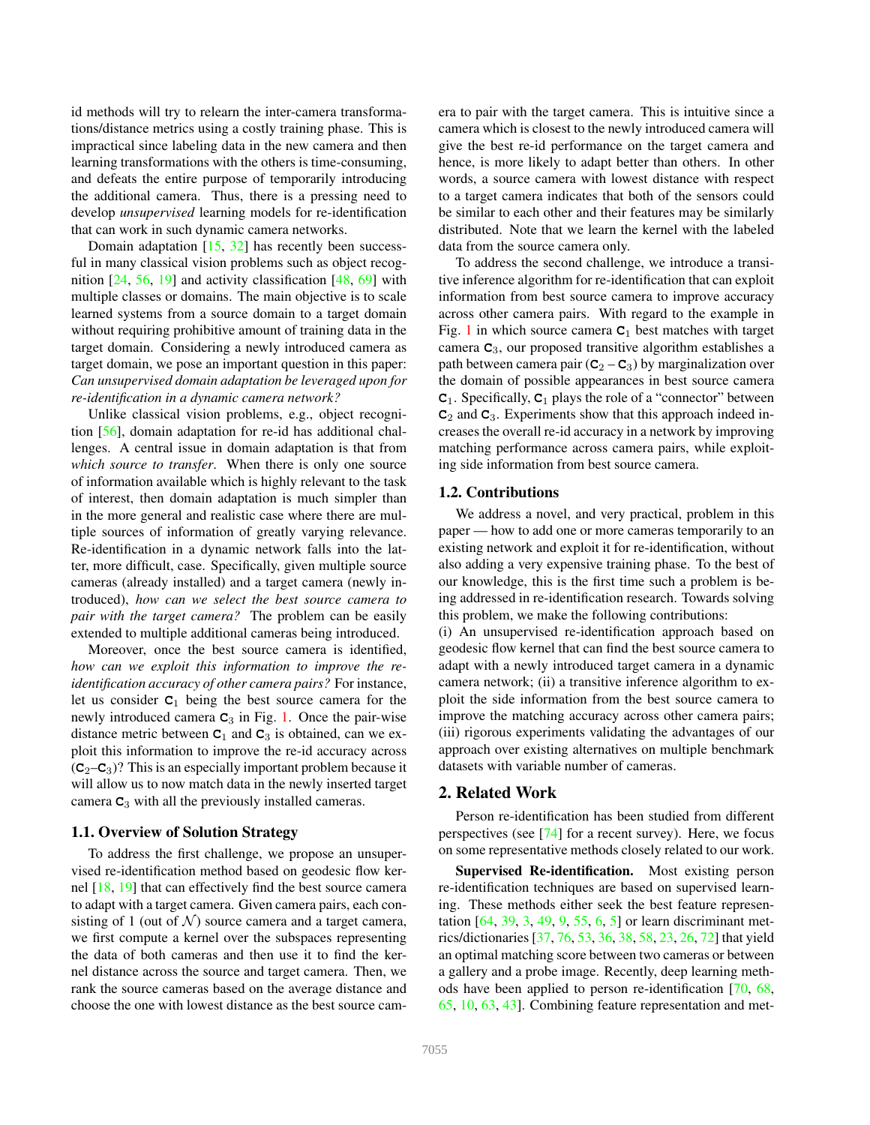<span id="page-1-0"></span>id methods will try to relearn the inter-camera transformations/distance metrics using a costly training phase. This is impractical since labeling data in the new camera and then learning transformations with the others is time-consuming, and defeats the entire purpose of temporarily introducing the additional camera. Thus, there is a pressing need to develop *unsupervised* learning models for re-identification that can work in such dynamic camera networks.

Domain adaptation [\[15,](#page-8-5) [32\]](#page-8-6) has recently been successful in many classical vision problems such as object recognition [\[24,](#page-8-7) [56,](#page-9-9) [19\]](#page-8-8) and activity classification [\[48,](#page-9-10) [69\]](#page-9-11) with multiple classes or domains. The main objective is to scale learned systems from a source domain to a target domain without requiring prohibitive amount of training data in the target domain. Considering a newly introduced camera as target domain, we pose an important question in this paper: *Can unsupervised domain adaptation be leveraged upon for re-identification in a dynamic camera network?*

Unlike classical vision problems, e.g., object recognition [\[56\]](#page-9-9), domain adaptation for re-id has additional challenges. A central issue in domain adaptation is that from *which source to transfer*. When there is only one source of information available which is highly relevant to the task of interest, then domain adaptation is much simpler than in the more general and realistic case where there are multiple sources of information of greatly varying relevance. Re-identification in a dynamic network falls into the latter, more difficult, case. Specifically, given multiple source cameras (already installed) and a target camera (newly introduced), *how can we select the best source camera to pair with the target camera?* The problem can be easily extended to multiple additional cameras being introduced.

Moreover, once the best source camera is identified, *how can we exploit this information to improve the reidentification accuracy of other camera pairs?* For instance, let us consider  $C_1$  being the best source camera for the newly introduced camera  $C_3$  in Fig. [1.](#page-0-0) Once the pair-wise distance metric between  $C_1$  and  $C_3$  is obtained, can we exploit this information to improve the re-id accuracy across  $(C_2 - C_3)$ ? This is an especially important problem because it will allow us to now match data in the newly inserted target camera **C**<sup>3</sup> with all the previously installed cameras.

## 1.1. Overview of Solution Strategy

To address the first challenge, we propose an unsupervised re-identification method based on geodesic flow kernel  $[18, 19]$  $[18, 19]$  that can effectively find the best source camera to adapt with a target camera. Given camera pairs, each consisting of 1 (out of  $\mathcal N$ ) source camera and a target camera, we first compute a kernel over the subspaces representing the data of both cameras and then use it to find the kernel distance across the source and target camera. Then, we rank the source cameras based on the average distance and choose the one with lowest distance as the best source camera to pair with the target camera. This is intuitive since a camera which is closest to the newly introduced camera will give the best re-id performance on the target camera and hence, is more likely to adapt better than others. In other words, a source camera with lowest distance with respect to a target camera indicates that both of the sensors could be similar to each other and their features may be similarly distributed. Note that we learn the kernel with the labeled data from the source camera only.

To address the second challenge, we introduce a transitive inference algorithm for re-identification that can exploit information from best source camera to improve accuracy across other camera pairs. With regard to the example in Fig. [1](#page-0-0) in which source camera **C**<sup>1</sup> best matches with target camera **C**3, our proposed transitive algorithm establishes a path between camera pair  $(C_2 - C_3)$  by marginalization over the domain of possible appearances in best source camera **C**1. Specifically, **C**<sup>1</sup> plays the role of a "connector" between **C**<sup>2</sup> and **C**3. Experiments show that this approach indeed increases the overall re-id accuracy in a network by improving matching performance across camera pairs, while exploiting side information from best source camera.

# 1.2. Contributions

We address a novel, and very practical, problem in this paper — how to add one or more cameras temporarily to an existing network and exploit it for re-identification, without also adding a very expensive training phase. To the best of our knowledge, this is the first time such a problem is being addressed in re-identification research. Towards solving this problem, we make the following contributions:

(i) An unsupervised re-identification approach based on geodesic flow kernel that can find the best source camera to adapt with a newly introduced target camera in a dynamic camera network; (ii) a transitive inference algorithm to exploit the side information from the best source camera to improve the matching accuracy across other camera pairs; (iii) rigorous experiments validating the advantages of our approach over existing alternatives on multiple benchmark datasets with variable number of cameras.

## 2. Related Work

Person re-identification has been studied from different perspectives (see  $[74]$  for a recent survey). Here, we focus on some representative methods closely related to our work.

Supervised Re-identification. Most existing person re-identification techniques are based on supervised learning. These methods either seek the best feature representation [\[64,](#page-9-2) [39,](#page-9-3) [3,](#page-8-1) [49,](#page-9-12) [9,](#page-8-10) [55,](#page-9-13) [6,](#page-8-11) [5\]](#page-8-12) or learn discriminant metrics/dictionaries [\[37,](#page-8-2) [76,](#page-9-14) [53,](#page-9-15) [36,](#page-8-13) [38,](#page-8-14) [58,](#page-9-16) [23,](#page-8-15) [26,](#page-8-16) [72\]](#page-9-17) that yield an optimal matching score between two cameras or between a gallery and a probe image. Recently, deep learning methods have been applied to person re-identification [\[70,](#page-9-18) [68,](#page-9-19) [65,](#page-9-20) [10,](#page-8-17) [63,](#page-9-21) [43\]](#page-9-22). Combining feature representation and met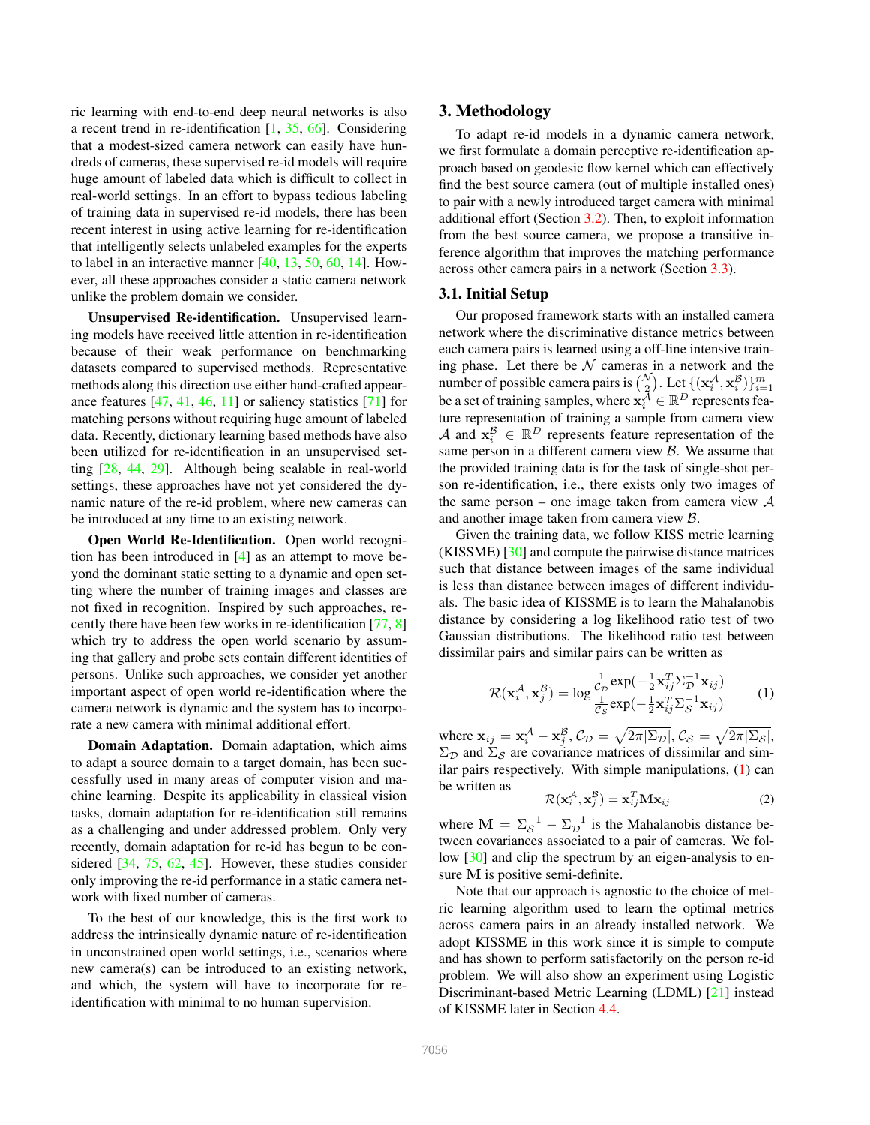<span id="page-2-2"></span>ric learning with end-to-end deep neural networks is also a recent trend in re-identification [\[1,](#page-8-18) [35,](#page-8-19) [66\]](#page-9-23). Considering that a modest-sized camera network can easily have hundreds of cameras, these supervised re-id models will require huge amount of labeled data which is difficult to collect in real-world settings. In an effort to bypass tedious labeling of training data in supervised re-id models, there has been recent interest in using active learning for re-identification that intelligently selects unlabeled examples for the experts to label in an interactive manner [\[40,](#page-9-24) [13,](#page-8-20) [50,](#page-9-25) [60,](#page-9-26) [14\]](#page-8-21). However, all these approaches consider a static camera network unlike the problem domain we consider.

Unsupervised Re-identification. Unsupervised learning models have received little attention in re-identification because of their weak performance on benchmarking datasets compared to supervised methods. Representative methods along this direction use either hand-crafted appearance features [\[47,](#page-9-27) [41,](#page-9-28) [46,](#page-9-29) [11\]](#page-8-22) or saliency statistics [\[71\]](#page-9-30) for matching persons without requiring huge amount of labeled data. Recently, dictionary learning based methods have also been utilized for re-identification in an unsupervised setting [\[28,](#page-8-23) [44,](#page-9-31) [29\]](#page-8-24). Although being scalable in real-world settings, these approaches have not yet considered the dynamic nature of the re-id problem, where new cameras can be introduced at any time to an existing network.

Open World Re-Identification. Open world recognition has been introduced in [\[4\]](#page-8-25) as an attempt to move beyond the dominant static setting to a dynamic and open setting where the number of training images and classes are not fixed in recognition. Inspired by such approaches, recently there have been few works in re-identification [\[77,](#page-9-32) [8\]](#page-8-26) which try to address the open world scenario by assuming that gallery and probe sets contain different identities of persons. Unlike such approaches, we consider yet another important aspect of open world re-identification where the camera network is dynamic and the system has to incorporate a new camera with minimal additional effort.

Domain Adaptation. Domain adaptation, which aims to adapt a source domain to a target domain, has been successfully used in many areas of computer vision and machine learning. Despite its applicability in classical vision tasks, domain adaptation for re-identification still remains as a challenging and under addressed problem. Only very recently, domain adaptation for re-id has begun to be considered [\[34,](#page-8-27) [75,](#page-9-33) [62,](#page-9-34) [45\]](#page-9-35). However, these studies consider only improving the re-id performance in a static camera network with fixed number of cameras.

To the best of our knowledge, this is the first work to address the intrinsically dynamic nature of re-identification in unconstrained open world settings, i.e., scenarios where new camera(s) can be introduced to an existing network, and which, the system will have to incorporate for reidentification with minimal to no human supervision.

## 3. Methodology

To adapt re-id models in a dynamic camera network, we first formulate a domain perceptive re-identification approach based on geodesic flow kernel which can effectively find the best source camera (out of multiple installed ones) to pair with a newly introduced target camera with minimal additional effort (Section [3.2\)](#page-3-0). Then, to exploit information from the best source camera, we propose a transitive inference algorithm that improves the matching performance across other camera pairs in a network (Section [3.3\)](#page-4-0).

## <span id="page-2-1"></span>3.1. Initial Setup

Our proposed framework starts with an installed camera network where the discriminative distance metrics between each camera pairs is learned using a off-line intensive training phase. Let there be  $N$  cameras in a network and the number of possible camera pairs is  $\binom{N}{2}$ . Let  $\{(\mathbf{x}_i^A, \mathbf{x}_i^B)\}_{i=1}^m$ <br>be a set of training samples, where  $\mathbf{x}_i^A \in \mathbb{R}^D$  represents feature representation of training a sample from camera view A and  $\mathbf{x}_i^B \in \mathbb{R}^D$  represents feature representation of the same person in a different camera view  $B$ . We assume that the provided training data is for the task of single-shot person re-identification, i.e., there exists only two images of the same person – one image taken from camera view  $A$ and another image taken from camera view B.

Given the training data, we follow KISS metric learning (KISSME) [\[30\]](#page-8-28) and compute the pairwise distance matrices such that distance between images of the same individual is less than distance between images of different individuals. The basic idea of KISSME is to learn the Mahalanobis distance by considering a log likelihood ratio test of two Gaussian distributions. The likelihood ratio test between dissimilar pairs and similar pairs can be written as

<span id="page-2-0"></span>
$$
\mathcal{R}(\mathbf{x}_i^{\mathcal{A}}, \mathbf{x}_j^{\mathcal{B}}) = \log \frac{\frac{1}{C_{\mathcal{D}}} \exp(-\frac{1}{2} \mathbf{x}_{ij}^T \Sigma_{\mathcal{D}}^{-1} \mathbf{x}_{ij})}{\frac{1}{C_{\mathcal{S}}} \exp(-\frac{1}{2} \mathbf{x}_{ij}^T \Sigma_{\mathcal{S}}^{-1} \mathbf{x}_{ij})}
$$
(1)

where  $\mathbf{x}_{ij} = \mathbf{x}_i^{\mathcal{A}} - \mathbf{x}_j^{\mathcal{B}}, \mathcal{C}_{\mathcal{D}} = \sqrt{2\pi |\Sigma_{\mathcal{D}}|}, \mathcal{C}_{\mathcal{S}} = \sqrt{2\pi |\Sigma_{\mathcal{S}}|},$  $\Sigma_{\mathcal{D}}$  and  $\Sigma_{\mathcal{S}}$  are covariance matrices of dissimilar and similar pairs respectively. With simple manipulations, [\(1\)](#page-2-0) can be written as

$$
\mathcal{R}(\mathbf{x}_i^{\mathcal{A}}, \mathbf{x}_j^{\mathcal{B}}) = \mathbf{x}_{ij}^T \mathbf{M} \mathbf{x}_{ij}
$$
 (2)

where  $\mathbf{M} = \Sigma_{\mathcal{S}}^{-1} - \Sigma_{\mathcal{D}}^{-1}$  is the Mahalanobis distance between covariances associated to a pair of cameras. We fol-low [\[30\]](#page-8-28) and clip the spectrum by an eigen-analysis to ensure M is positive semi-definite.

Note that our approach is agnostic to the choice of metric learning algorithm used to learn the optimal metrics across camera pairs in an already installed network. We adopt KISSME in this work since it is simple to compute and has shown to perform satisfactorily on the person re-id problem. We will also show an experiment using Logistic Discriminant-based Metric Learning (LDML) [\[21\]](#page-8-29) instead of KISSME later in Section [4.4.](#page-6-0)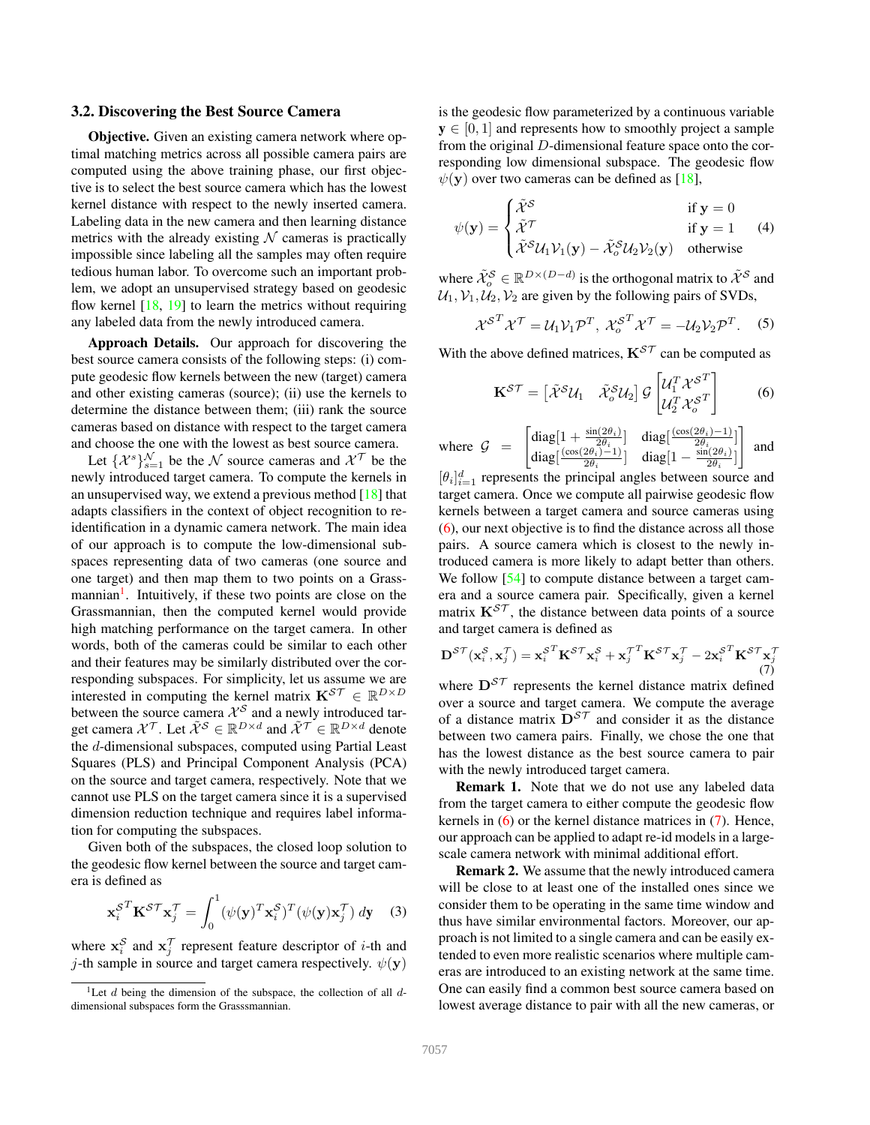#### <span id="page-3-4"></span><span id="page-3-0"></span>3.2. Discovering the Best Source Camera

Objective. Given an existing camera network where optimal matching metrics across all possible camera pairs are computed using the above training phase, our first objective is to select the best source camera which has the lowest kernel distance with respect to the newly inserted camera. Labeling data in the new camera and then learning distance metrics with the already existing  $N$  cameras is practically impossible since labeling all the samples may often require tedious human labor. To overcome such an important problem, we adopt an unsupervised strategy based on geodesic flow kernel  $[18, 19]$  $[18, 19]$  to learn the metrics without requiring any labeled data from the newly introduced camera.

Approach Details. Our approach for discovering the best source camera consists of the following steps: (i) compute geodesic flow kernels between the new (target) camera and other existing cameras (source); (ii) use the kernels to determine the distance between them; (iii) rank the source cameras based on distance with respect to the target camera and choose the one with the lowest as best source camera.

Let  $\{\mathcal{X}^s\}_{s=1}^{\mathcal{N}}$  be the  $\mathcal{N}$  source cameras and  $\mathcal{X}^{\mathcal{T}}$  be the newly introduced target camera. To compute the kernels in an unsupervised way, we extend a previous method  $[18]$  that adapts classifiers in the context of object recognition to reidentification in a dynamic camera network. The main idea of our approach is to compute the low-dimensional subspaces representing data of two cameras (one source and one target) and then map them to two points on a Grass-mannian<sup>[1](#page-3-1)</sup>. Intuitively, if these two points are close on the Grassmannian, then the computed kernel would provide high matching performance on the target camera. In other words, both of the cameras could be similar to each other and their features may be similarly distributed over the corresponding subspaces. For simplicity, let us assume we are interested in computing the kernel matrix  $\mathbf{K}^{\mathcal{ST}} \in \mathbb{R}^{D \times D}$ between the source camera  $\mathcal{X}^{\mathcal{S}}$  and a newly introduced target camera  $X^{\mathcal{T}}$ . Let  $\tilde{X}^{\mathcal{S}} \in \mathbb{R}^{D \times d}$  and  $\tilde{X}^{\mathcal{T}} \in \mathbb{R}^{D \times d}$  denote the d-dimensional subspaces, computed using Partial Least Squares (PLS) and Principal Component Analysis (PCA) on the source and target camera, respectively. Note that we cannot use PLS on the target camera since it is a supervised dimension reduction technique and requires label information for computing the subspaces.

Given both of the subspaces, the closed loop solution to the geodesic flow kernel between the source and target camera is defined as

$$
\mathbf{x}_{i}^{\mathcal{S}^{T}} \mathbf{K}^{\mathcal{S} \mathcal{T}} \mathbf{x}_{j}^{\mathcal{T}} = \int_{0}^{1} (\psi(\mathbf{y})^{T} \mathbf{x}_{i}^{\mathcal{S}})^{T} (\psi(\mathbf{y}) \mathbf{x}_{j}^{\mathcal{T}}) d\mathbf{y}
$$
 (3)

where  $x_i^S$  and  $x_j^T$  represent feature descriptor of *i*-th and j-th sample in source and target camera respectively.  $\psi(\mathbf{y})$ 

is the geodesic flow parameterized by a continuous variable  $y \in [0, 1]$  and represents how to smoothly project a sample from the original D-dimensional feature space onto the corresponding low dimensional subspace. The geodesic flow  $\psi(\mathbf{y})$  over two cameras can be defined as [\[18\]](#page-8-9),

$$
\psi(\mathbf{y}) = \begin{cases} \tilde{\mathcal{X}}^S & \text{if } \mathbf{y} = 0\\ \tilde{\mathcal{X}}^T & \text{if } \mathbf{y} = 1\\ \tilde{\mathcal{X}}^S \mathcal{U}_1 \mathcal{V}_1(\mathbf{y}) - \tilde{\mathcal{X}}_o^S \mathcal{U}_2 \mathcal{V}_2(\mathbf{y}) & \text{otherwise} \end{cases}
$$
(4)

where  $\tilde{\mathcal{X}}^{\mathcal{S}}_{o} \in \mathbb{R}^{D \times (D-d)}$  is the orthogonal matrix to  $\tilde{\mathcal{X}}^{\mathcal{S}}$  and  $U_1, V_1, U_2, V_2$  are given by the following pairs of SVDs,

$$
\mathcal{X}^{S^T} \mathcal{X}^T = \mathcal{U}_1 \mathcal{V}_1 \mathcal{P}^T, \ \mathcal{X}_o^{S^T} \mathcal{X}^T = -\mathcal{U}_2 \mathcal{V}_2 \mathcal{P}^T. \tag{5}
$$

With the above defined matrices,  $\mathbf{K}^{\mathcal{ST}}$  can be computed as

<span id="page-3-2"></span>
$$
\mathbf{K}^{\mathcal{ST}} = \begin{bmatrix} \tilde{\mathcal{X}}^{\mathcal{S}} \mathcal{U}_1 & \tilde{\mathcal{X}}^{\mathcal{S}}_o \mathcal{U}_2 \end{bmatrix} \mathcal{G} \begin{bmatrix} \mathcal{U}_1^T \mathcal{X}^{\mathcal{S}^T} \\ \mathcal{U}_2^T \mathcal{X}^{\mathcal{S}^T}_o \end{bmatrix}
$$
 (6)

where 
$$
\mathcal{G} = \begin{bmatrix} \text{diag}[1 + \frac{\sin(2\theta_i)}{2\theta_i}] & \text{diag}[\frac{(\cos(2\theta_i) - 1)}{2\theta_i}] \\ \text{diag}[\frac{(\cos(2\theta_i) - 1)}{2\theta_i}] & \text{diag}[1 - \frac{\sin(2\theta_i)}{2\theta_i}] \end{bmatrix}
$$
 and

 $[\theta_i]_{i=1}^d$  represents the principal angles between source and target camera. Once we compute all pairwise geodesic flow kernels between a target camera and source cameras using [\(6\)](#page-3-2), our next objective is to find the distance across all those pairs. A source camera which is closest to the newly introduced camera is more likely to adapt better than others. We follow [\[54\]](#page-9-36) to compute distance between a target camera and a source camera pair. Specifically, given a kernel matrix  $K^{ST}$ , the distance between data points of a source and target camera is defined as

<span id="page-3-3"></span>
$$
\mathbf{D}^{\mathcal{ST}}(\mathbf{x}_i^{\mathcal{S}}, \mathbf{x}_j^{\mathcal{T}}) = \mathbf{x}_i^{\mathcal{ST}} \mathbf{K}^{\mathcal{ST}} \mathbf{x}_i^{\mathcal{S}} + \mathbf{x}_j^{\mathcal{T}^T} \mathbf{K}^{\mathcal{ST}} \mathbf{x}_j^{\mathcal{T}} - 2 \mathbf{x}_i^{\mathcal{ST}} \mathbf{K}^{\mathcal{ST}} \mathbf{x}_j^{\mathcal{T}} \tag{7}
$$

where  $D<sup>S\mathcal{T}</sup>$  represents the kernel distance matrix defined over a source and target camera. We compute the average of a distance matrix  $\mathbf{D}^{\mathcal{ST}}$  and consider it as the distance between two camera pairs. Finally, we chose the one that has the lowest distance as the best source camera to pair with the newly introduced target camera.

Remark 1. Note that we do not use any labeled data from the target camera to either compute the geodesic flow kernels in  $(6)$  or the kernel distance matrices in  $(7)$ . Hence, our approach can be applied to adapt re-id models in a largescale camera network with minimal additional effort.

Remark 2. We assume that the newly introduced camera will be close to at least one of the installed ones since we consider them to be operating in the same time window and thus have similar environmental factors. Moreover, our approach is not limited to a single camera and can be easily extended to even more realistic scenarios where multiple cameras are introduced to an existing network at the same time. One can easily find a common best source camera based on lowest average distance to pair with all the new cameras, or

<span id="page-3-1"></span><sup>&</sup>lt;sup>1</sup>Let  $d$  being the dimension of the subspace, the collection of all  $d$ dimensional subspaces form the Grasssmannian.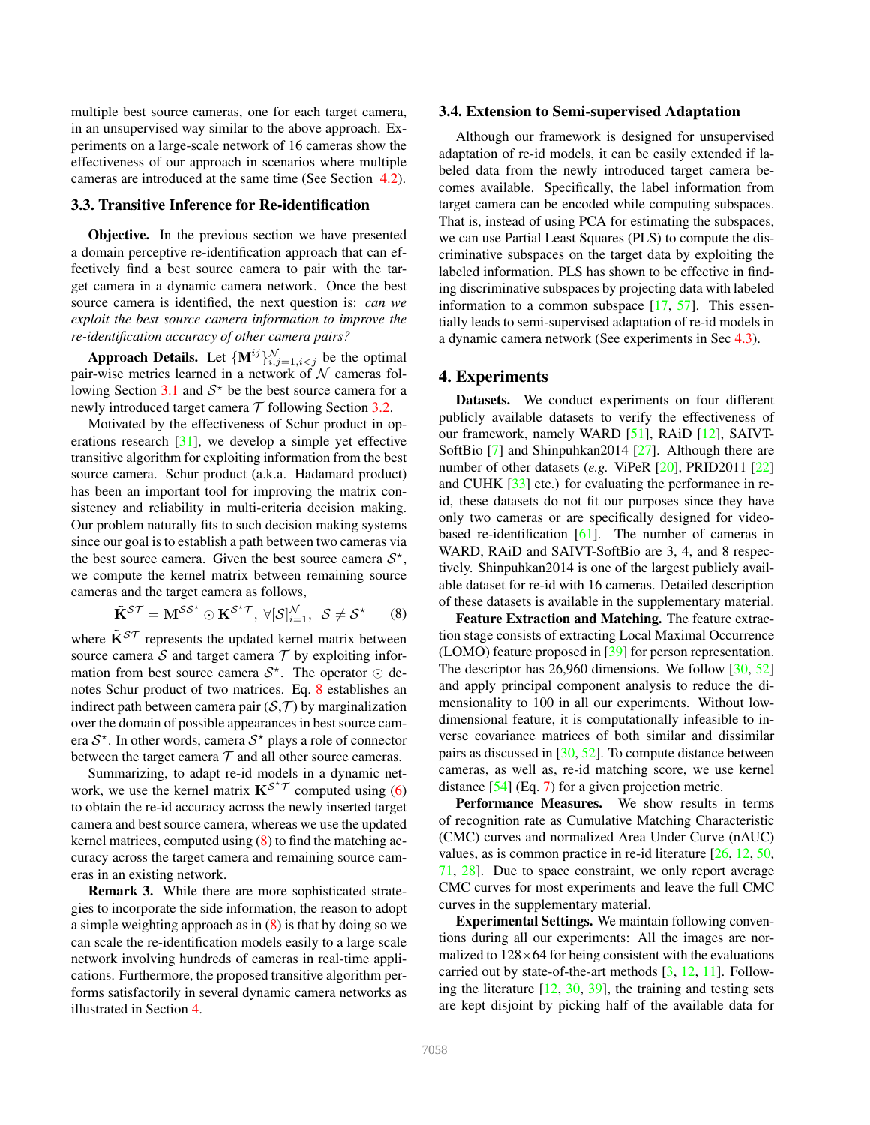<span id="page-4-3"></span>multiple best source cameras, one for each target camera, in an unsupervised way similar to the above approach. Experiments on a large-scale network of 16 cameras show the effectiveness of our approach in scenarios where multiple cameras are introduced at the same time (See Section [4.2\)](#page-5-0).

#### <span id="page-4-0"></span>3.3. Transitive Inference for Re-identification

Objective. In the previous section we have presented a domain perceptive re-identification approach that can effectively find a best source camera to pair with the target camera in a dynamic camera network. Once the best source camera is identified, the next question is: *can we exploit the best source camera information to improve the re-identification accuracy of other camera pairs?*

**Approach Details.** Let  $\{M^{ij}\}_{i,j=1,i\leq j}^{\mathcal{N}}$  be the optimal pair-wise metrics learned in a network of  $N$  cameras fol-lowing Section [3.1](#page-2-1) and  $S^*$  be the best source camera for a newly introduced target camera  $\mathcal T$  following Section [3.2.](#page-3-0)

Motivated by the effectiveness of Schur product in operations research [\[31\]](#page-8-30), we develop a simple yet effective transitive algorithm for exploiting information from the best source camera. Schur product (a.k.a. Hadamard product) has been an important tool for improving the matrix consistency and reliability in multi-criteria decision making. Our problem naturally fits to such decision making systems since our goal is to establish a path between two cameras via the best source camera. Given the best source camera  $S^*$ , we compute the kernel matrix between remaining source cameras and the target camera as follows,

<span id="page-4-1"></span>
$$
\tilde{\mathbf{K}}^{\mathcal{ST}} = \mathbf{M}^{\mathcal{SS}^{\star}} \odot \mathbf{K}^{\mathcal{S}^{\star}\mathcal{T}}, \ \forall [\mathcal{S}]_{i=1}^{\mathcal{N}}, \ \ \mathcal{S} \neq \mathcal{S}^{\star} \qquad (8)
$$

where  $\tilde{\mathbf{K}}^{ST}$  represents the updated kernel matrix between source camera  $S$  and target camera  $T$  by exploiting information from best source camera  $S^*$ . The operator  $\odot$  de-notes Schur product of two matrices. Eq. [8](#page-4-1) establishes an indirect path between camera pair  $(S, \mathcal{T})$  by marginalization over the domain of possible appearances in best source camera  $S^*$ . In other words, camera  $S^*$  plays a role of connector between the target camera  $T$  and all other source cameras.

Summarizing, to adapt re-id models in a dynamic network, we use the kernel matrix  $\mathbf{K}^{\mathcal{S}^{\star}\mathcal{T}}$  computed using [\(6\)](#page-3-2) to obtain the re-id accuracy across the newly inserted target camera and best source camera, whereas we use the updated kernel matrices, computed using  $(8)$  to find the matching accuracy across the target camera and remaining source cameras in an existing network.

Remark 3. While there are more sophisticated strategies to incorporate the side information, the reason to adopt a simple weighting approach as in  $(8)$  is that by doing so we can scale the re-identification models easily to a large scale network involving hundreds of cameras in real-time applications. Furthermore, the proposed transitive algorithm performs satisfactorily in several dynamic camera networks as illustrated in Section [4.](#page-4-2)

#### 3.4. Extension to Semi-supervised Adaptation

Although our framework is designed for unsupervised adaptation of re-id models, it can be easily extended if labeled data from the newly introduced target camera becomes available. Specifically, the label information from target camera can be encoded while computing subspaces. That is, instead of using PCA for estimating the subspaces, we can use Partial Least Squares (PLS) to compute the discriminative subspaces on the target data by exploiting the labeled information. PLS has shown to be effective in finding discriminative subspaces by projecting data with labeled information to a common subspace [\[17,](#page-8-31) [57\]](#page-9-37). This essentially leads to semi-supervised adaptation of re-id models in a dynamic camera network (See experiments in Sec [4.3\)](#page-6-1).

# <span id="page-4-2"></span>4. Experiments

Datasets. We conduct experiments on four different publicly available datasets to verify the effectiveness of our framework, namely WARD [\[51\]](#page-9-7), RAiD [\[12\]](#page-8-4), SAIVT-SoftBio [\[7\]](#page-8-32) and Shinpuhkan2014 [\[27\]](#page-8-33). Although there are number of other datasets (*e.g.* ViPeR [\[20\]](#page-8-34), PRID2011 [\[22\]](#page-8-35) and CUHK [\[33\]](#page-8-36) etc.) for evaluating the performance in reid, these datasets do not fit our purposes since they have only two cameras or are specifically designed for videobased re-identification [\[61\]](#page-9-38). The number of cameras in WARD, RAiD and SAIVT-SoftBio are 3, 4, and 8 respectively. Shinpuhkan2014 is one of the largest publicly available dataset for re-id with 16 cameras. Detailed description of these datasets is available in the supplementary material.

Feature Extraction and Matching. The feature extraction stage consists of extracting Local Maximal Occurrence (LOMO) feature proposed in [\[39\]](#page-9-3) for person representation. The descriptor has 26,960 dimensions. We follow [\[30,](#page-8-28) [52\]](#page-9-5) and apply principal component analysis to reduce the dimensionality to 100 in all our experiments. Without lowdimensional feature, it is computationally infeasible to inverse covariance matrices of both similar and dissimilar pairs as discussed in [\[30,](#page-8-28) [52\]](#page-9-5). To compute distance between cameras, as well as, re-id matching score, we use kernel distance [\[54\]](#page-9-36) (Eq. [7\)](#page-3-3) for a given projection metric.

Performance Measures. We show results in terms of recognition rate as Cumulative Matching Characteristic (CMC) curves and normalized Area Under Curve (nAUC) values, as is common practice in re-id literature [\[26,](#page-8-16) [12,](#page-8-4) [50,](#page-9-25) [71,](#page-9-30) [28\]](#page-8-23). Due to space constraint, we only report average CMC curves for most experiments and leave the full CMC curves in the supplementary material.

Experimental Settings. We maintain following conventions during all our experiments: All the images are normalized to  $128\times 64$  for being consistent with the evaluations carried out by state-of-the-art methods [\[3,](#page-8-1) [12,](#page-8-4) [11\]](#page-8-22). Following the literature  $[12, 30, 39]$  $[12, 30, 39]$  $[12, 30, 39]$  $[12, 30, 39]$  $[12, 30, 39]$ , the training and testing sets are kept disjoint by picking half of the available data for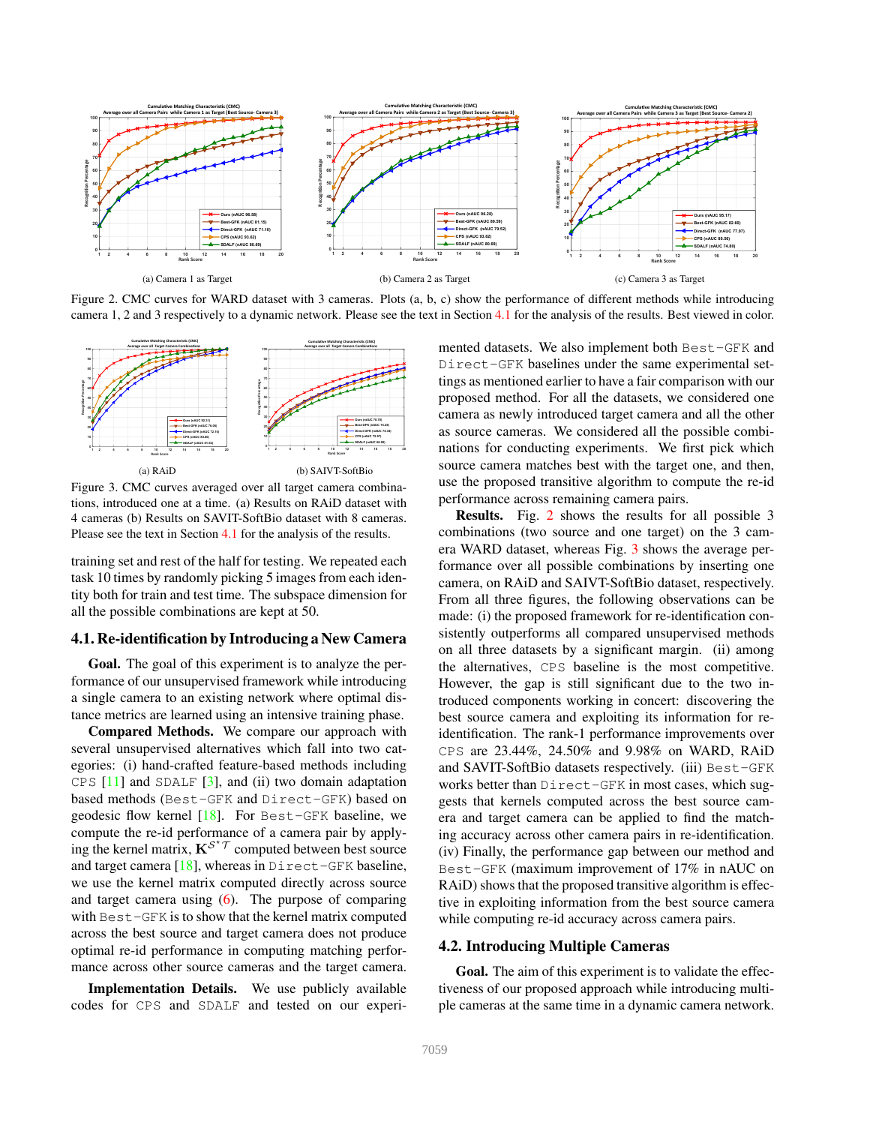<span id="page-5-4"></span>

<span id="page-5-2"></span>Figure 2. CMC curves for WARD dataset with 3 cameras. Plots (a, b, c) show the performance of different methods while introducing camera 1, 2 and 3 respectively to a dynamic network. Please see the text in Section [4.1](#page-5-1) for the analysis of the results. Best viewed in color.



<span id="page-5-3"></span>Figure 3. CMC curves averaged over all target camera combinations, introduced one at a time. (a) Results on RAiD dataset with 4 cameras (b) Results on SAVIT-SoftBio dataset with 8 cameras. Please see the text in Section [4.1](#page-5-1) for the analysis of the results.

training set and rest of the half for testing. We repeated each task 10 times by randomly picking 5 images from each identity both for train and test time. The subspace dimension for all the possible combinations are kept at 50.

#### <span id="page-5-1"></span>4.1. Re-identification by Introducing a New Camera

Goal. The goal of this experiment is to analyze the performance of our unsupervised framework while introducing a single camera to an existing network where optimal distance metrics are learned using an intensive training phase.

Compared Methods. We compare our approach with several unsupervised alternatives which fall into two categories: (i) hand-crafted feature-based methods including CPS  $[11]$  and SDALF  $[3]$ , and (ii) two domain adaptation based methods (Best-GFK and Direct-GFK) based on geodesic flow kernel [\[18\]](#page-8-9). For Best-GFK baseline, we compute the re-id performance of a camera pair by applying the kernel matrix,  $\mathbf{K}^{\mathcal{S}^*\mathcal{T}}$  computed between best source and target camera  $[18]$ , whereas in Direct-GFK baseline, we use the kernel matrix computed directly across source and target camera using [\(6\)](#page-3-2). The purpose of comparing with Best-GFK is to show that the kernel matrix computed across the best source and target camera does not produce optimal re-id performance in computing matching performance across other source cameras and the target camera.

Implementation Details. We use publicly available codes for CPS and SDALF and tested on our experimented datasets. We also implement both Best-GFK and Direct-GFK baselines under the same experimental settings as mentioned earlier to have a fair comparison with our proposed method. For all the datasets, we considered one camera as newly introduced target camera and all the other as source cameras. We considered all the possible combinations for conducting experiments. We first pick which source camera matches best with the target one, and then, use the proposed transitive algorithm to compute the re-id performance across remaining camera pairs.

Results. Fig. [2](#page-5-2) shows the results for all possible 3 combinations (two source and one target) on the 3 camera WARD dataset, whereas Fig. [3](#page-5-3) shows the average performance over all possible combinations by inserting one camera, on RAiD and SAIVT-SoftBio dataset, respectively. From all three figures, the following observations can be made: (i) the proposed framework for re-identification consistently outperforms all compared unsupervised methods on all three datasets by a significant margin. (ii) among the alternatives, CPS baseline is the most competitive. However, the gap is still significant due to the two introduced components working in concert: discovering the best source camera and exploiting its information for reidentification. The rank-1 performance improvements over CPS are 23.44%, 24.50% and 9.98% on WARD, RAiD and SAVIT-SoftBio datasets respectively. (iii) Best-GFK works better than Direct-GFK in most cases, which suggests that kernels computed across the best source camera and target camera can be applied to find the matching accuracy across other camera pairs in re-identification. (iv) Finally, the performance gap between our method and Best-GFK (maximum improvement of 17% in nAUC on RAiD) shows that the proposed transitive algorithm is effective in exploiting information from the best source camera while computing re-id accuracy across camera pairs.

## <span id="page-5-0"></span>4.2. Introducing Multiple Cameras

Goal. The aim of this experiment is to validate the effectiveness of our proposed approach while introducing multiple cameras at the same time in a dynamic camera network.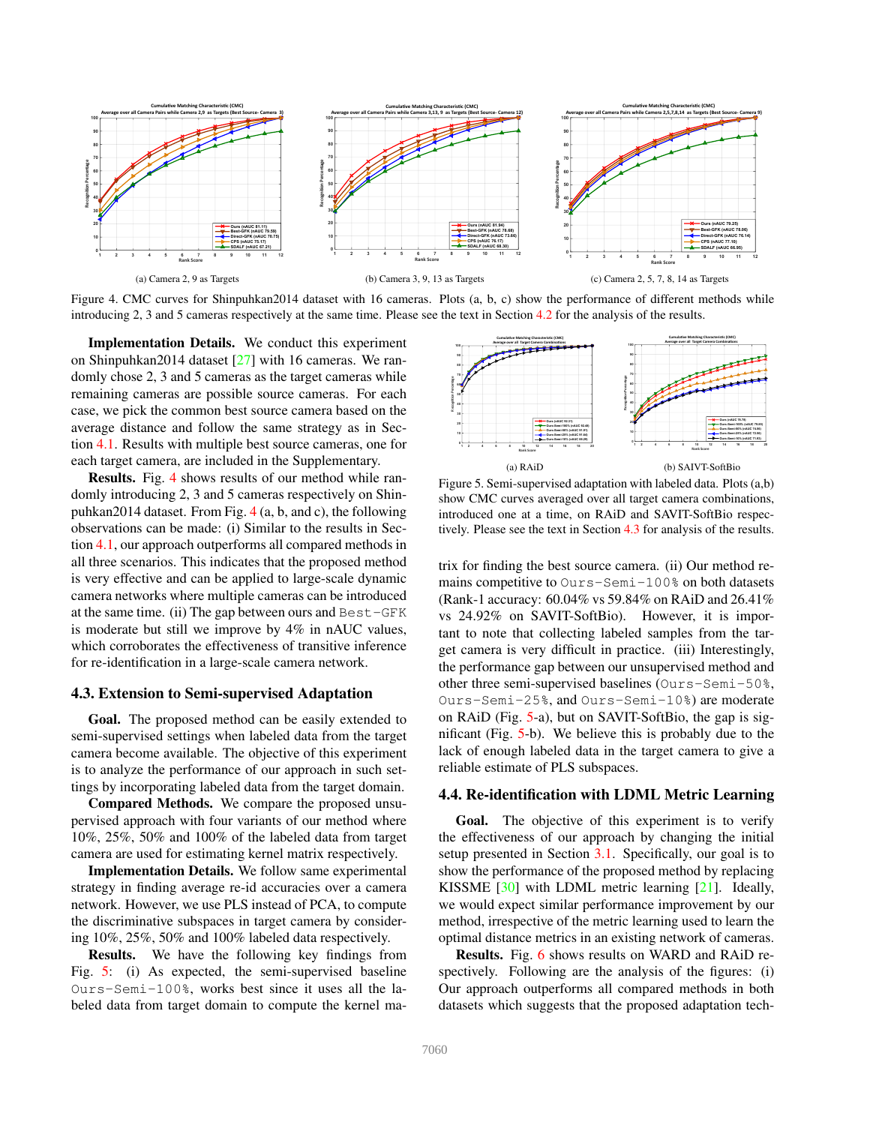<span id="page-6-4"></span>

<span id="page-6-2"></span>Figure 4. CMC curves for Shinpuhkan2014 dataset with 16 cameras. Plots (a, b, c) show the performance of different methods while introducing 2, 3 and 5 cameras respectively at the same time. Please see the text in Section [4.2](#page-5-0) for the analysis of the results.

Implementation Details. We conduct this experiment on Shinpuhkan2014 dataset [\[27\]](#page-8-33) with 16 cameras. We randomly chose 2, 3 and 5 cameras as the target cameras while remaining cameras are possible source cameras. For each case, we pick the common best source camera based on the average distance and follow the same strategy as in Section [4.1.](#page-5-1) Results with multiple best source cameras, one for each target camera, are included in the Supplementary.

Results. Fig. [4](#page-6-2) shows results of our method while randomly introducing 2, 3 and 5 cameras respectively on Shinpuhkan2014 dataset. From Fig. [4](#page-6-2) (a, b, and c), the following observations can be made: (i) Similar to the results in Section [4.1,](#page-5-1) our approach outperforms all compared methods in all three scenarios. This indicates that the proposed method is very effective and can be applied to large-scale dynamic camera networks where multiple cameras can be introduced at the same time. (ii) The gap between ours and Best-GFK is moderate but still we improve by 4% in nAUC values, which corroborates the effectiveness of transitive inference for re-identification in a large-scale camera network.

## <span id="page-6-1"></span>4.3. Extension to Semi-supervised Adaptation

Goal. The proposed method can be easily extended to semi-supervised settings when labeled data from the target camera become available. The objective of this experiment is to analyze the performance of our approach in such settings by incorporating labeled data from the target domain.

Compared Methods. We compare the proposed unsupervised approach with four variants of our method where 10%, 25%, 50% and 100% of the labeled data from target camera are used for estimating kernel matrix respectively.

Implementation Details. We follow same experimental strategy in finding average re-id accuracies over a camera network. However, we use PLS instead of PCA, to compute the discriminative subspaces in target camera by considering 10%, 25%, 50% and 100% labeled data respectively.

Results. We have the following key findings from Fig. [5:](#page-6-3) (i) As expected, the semi-supervised baseline Ours-Semi-100%, works best since it uses all the labeled data from target domain to compute the kernel ma-



<span id="page-6-3"></span>Figure 5. Semi-supervised adaptation with labeled data. Plots (a,b) show CMC curves averaged over all target camera combinations, introduced one at a time, on RAiD and SAVIT-SoftBio respectively. Please see the text in Section [4.3](#page-6-1) for analysis of the results.

trix for finding the best source camera. (ii) Our method remains competitive to Ours-Semi-100% on both datasets (Rank-1 accuracy: 60.04% vs 59.84% on RAiD and 26.41% vs 24.92% on SAVIT-SoftBio). However, it is important to note that collecting labeled samples from the target camera is very difficult in practice. (iii) Interestingly, the performance gap between our unsupervised method and other three semi-supervised baselines (Ours-Semi-50%, Ours-Semi-25%, and Ours-Semi-10%) are moderate on RAiD (Fig. [5-](#page-6-3)a), but on SAVIT-SoftBio, the gap is significant (Fig. [5-](#page-6-3)b). We believe this is probably due to the lack of enough labeled data in the target camera to give a reliable estimate of PLS subspaces.

# <span id="page-6-0"></span>4.4. Re-identification with LDML Metric Learning

Goal. The objective of this experiment is to verify the effectiveness of our approach by changing the initial setup presented in Section [3.1.](#page-2-1) Specifically, our goal is to show the performance of the proposed method by replacing KISSME [\[30\]](#page-8-28) with LDML metric learning [\[21\]](#page-8-29). Ideally, we would expect similar performance improvement by our method, irrespective of the metric learning used to learn the optimal distance metrics in an existing network of cameras.

Results. Fig. [6](#page-7-0) shows results on WARD and RAiD respectively. Following are the analysis of the figures: (i) Our approach outperforms all compared methods in both datasets which suggests that the proposed adaptation tech-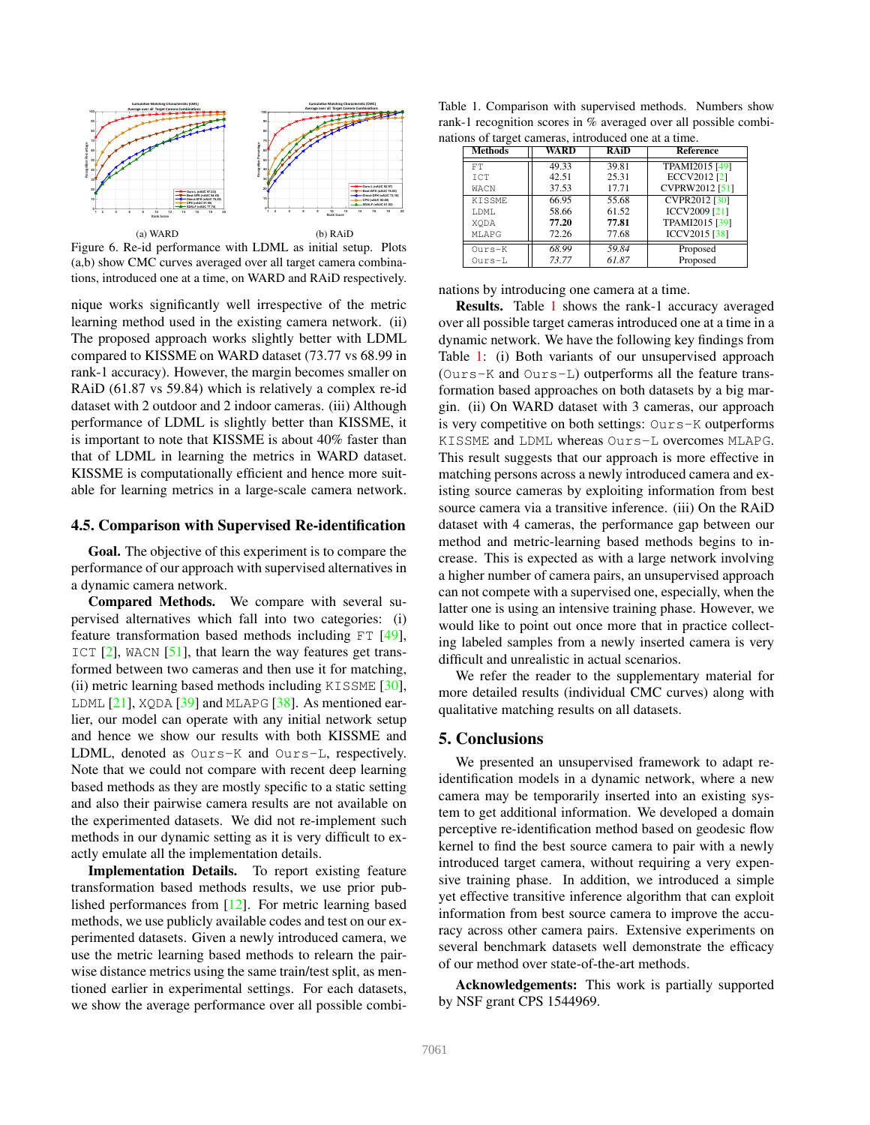<span id="page-7-2"></span>

<span id="page-7-0"></span>Figure 6. Re-id performance with LDML as initial setup. Plots (a,b) show CMC curves averaged over all target camera combinations, introduced one at a time, on WARD and RAiD respectively.

nique works significantly well irrespective of the metric learning method used in the existing camera network. (ii) The proposed approach works slightly better with LDML compared to KISSME on WARD dataset (73.77 vs 68.99 in rank-1 accuracy). However, the margin becomes smaller on RAiD (61.87 vs 59.84) which is relatively a complex re-id dataset with 2 outdoor and 2 indoor cameras. (iii) Although performance of LDML is slightly better than KISSME, it is important to note that KISSME is about 40% faster than that of LDML in learning the metrics in WARD dataset. KISSME is computationally efficient and hence more suitable for learning metrics in a large-scale camera network.

## 4.5. Comparison with Supervised Re-identification

Goal. The objective of this experiment is to compare the performance of our approach with supervised alternatives in a dynamic camera network.

Compared Methods. We compare with several supervised alternatives which fall into two categories: (i) feature transformation based methods including FT [\[49\]](#page-9-12), ICT  $[2]$ , WACN  $[51]$ , that learn the way features get transformed between two cameras and then use it for matching, (ii) metric learning based methods including KISSME [\[30\]](#page-8-28), LDML  $[21]$ , XQDA  $[39]$  and MLAPG  $[38]$ . As mentioned earlier, our model can operate with any initial network setup and hence we show our results with both KISSME and LDML, denoted as Ours-K and Ours-L, respectively. Note that we could not compare with recent deep learning based methods as they are mostly specific to a static setting and also their pairwise camera results are not available on the experimented datasets. We did not re-implement such methods in our dynamic setting as it is very difficult to exactly emulate all the implementation details.

Implementation Details. To report existing feature transformation based methods results, we use prior published performances from [\[12\]](#page-8-4). For metric learning based methods, we use publicly available codes and test on our experimented datasets. Given a newly introduced camera, we use the metric learning based methods to relearn the pairwise distance metrics using the same train/test split, as mentioned earlier in experimental settings. For each datasets, we show the average performance over all possible combi-

<span id="page-7-1"></span>Table 1. Comparison with supervised methods. Numbers show rank-1 recognition scores in % averaged over all possible combinations of target cameras, introduced one at a time.

| <b>Methods</b> | <b>WARD</b> | <b>RAiD</b> | <b>Reference</b>      |
|----------------|-------------|-------------|-----------------------|
| FT             | 49.33       | 39.81       | <b>TPAMI2015 [49]</b> |
| <b>TCT</b>     | 42.51       | 25.31       | ECCV2012 [2]          |
| WACN           | 37.53       | 17.71       | CVPRW2012 [51]        |
| KISSME         | 66.95       | 55.68       | <b>CVPR2012 [30]</b>  |
| T.DMT.         | 58.66       | 61.52       | <b>ICCV2009 [21]</b>  |
| XODA           | 77.20       | 77.81       | TPAMI2015 [39]        |
| MLAPG          | 72.26       | 77.68       | <b>ICCV2015</b> [38]  |
| $Ours-K$       | 68.99       | 59.84       | Proposed              |
| Ours-L         | 73.77       | 61.87       | Proposed              |

nations by introducing one camera at a time.

Results. Table [1](#page-7-1) shows the rank-1 accuracy averaged over all possible target cameras introduced one at a time in a dynamic network. We have the following key findings from Table [1:](#page-7-1) (i) Both variants of our unsupervised approach (Ours-K and Ours-L) outperforms all the feature transformation based approaches on both datasets by a big margin. (ii) On WARD dataset with 3 cameras, our approach is very competitive on both settings: Ours-K outperforms KISSME and LDML whereas Ours-L overcomes MLAPG. This result suggests that our approach is more effective in matching persons across a newly introduced camera and existing source cameras by exploiting information from best source camera via a transitive inference. (iii) On the RAiD dataset with 4 cameras, the performance gap between our method and metric-learning based methods begins to increase. This is expected as with a large network involving a higher number of camera pairs, an unsupervised approach can not compete with a supervised one, especially, when the latter one is using an intensive training phase. However, we would like to point out once more that in practice collecting labeled samples from a newly inserted camera is very difficult and unrealistic in actual scenarios.

We refer the reader to the supplementary material for more detailed results (individual CMC curves) along with qualitative matching results on all datasets.

### 5. Conclusions

We presented an unsupervised framework to adapt reidentification models in a dynamic network, where a new camera may be temporarily inserted into an existing system to get additional information. We developed a domain perceptive re-identification method based on geodesic flow kernel to find the best source camera to pair with a newly introduced target camera, without requiring a very expensive training phase. In addition, we introduced a simple yet effective transitive inference algorithm that can exploit information from best source camera to improve the accuracy across other camera pairs. Extensive experiments on several benchmark datasets well demonstrate the efficacy of our method over state-of-the-art methods.

Acknowledgements: This work is partially supported by NSF grant CPS 1544969.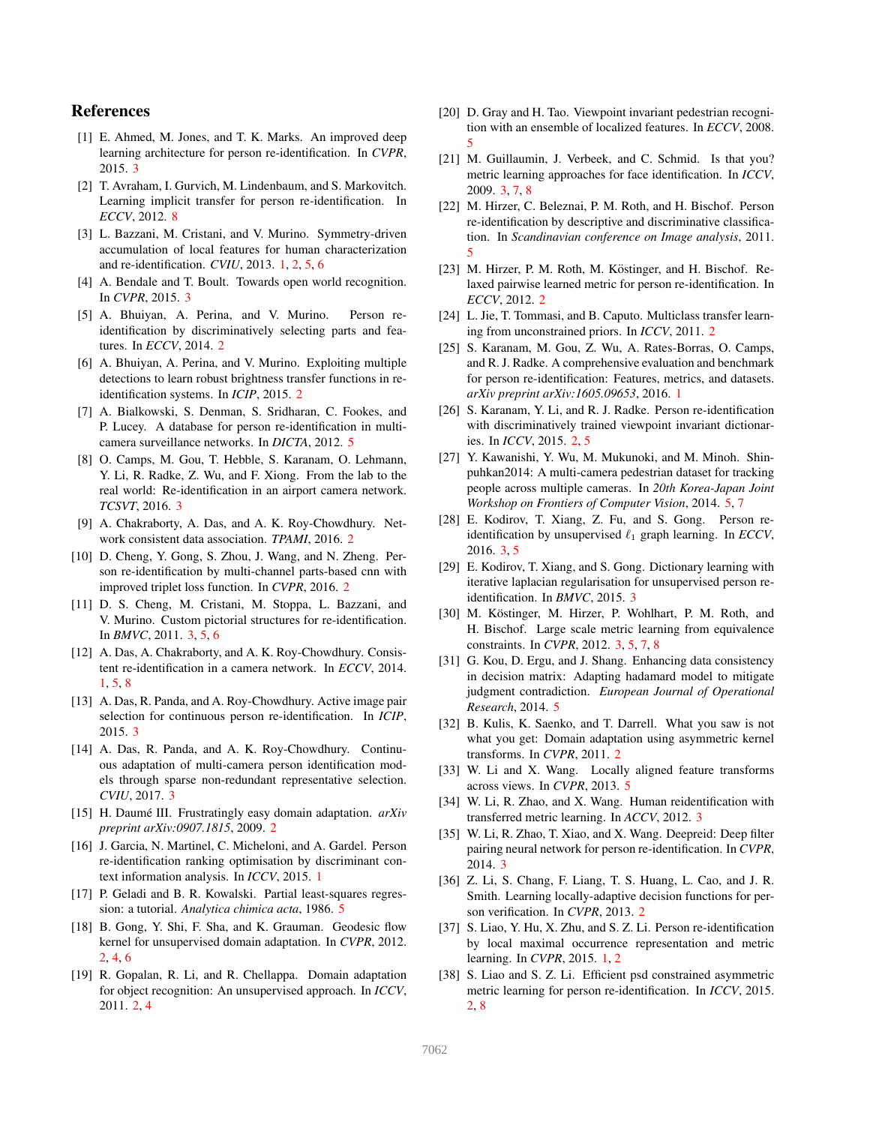# References

- <span id="page-8-18"></span>[1] E. Ahmed, M. Jones, and T. K. Marks. An improved deep learning architecture for person re-identification. In *CVPR*, 2015. [3](#page-2-2)
- <span id="page-8-37"></span>[2] T. Avraham, I. Gurvich, M. Lindenbaum, and S. Markovitch. Learning implicit transfer for person re-identification. In *ECCV*, 2012. [8](#page-7-2)
- <span id="page-8-1"></span>[3] L. Bazzani, M. Cristani, and V. Murino. Symmetry-driven accumulation of local features for human characterization and re-identification. *CVIU*, 2013. [1,](#page-0-1) [2,](#page-1-0) [5,](#page-4-3) [6](#page-5-4)
- <span id="page-8-25"></span>[4] A. Bendale and T. Boult. Towards open world recognition. In *CVPR*, 2015. [3](#page-2-2)
- <span id="page-8-12"></span>[5] A. Bhuiyan, A. Perina, and V. Murino. Person reidentification by discriminatively selecting parts and features. In *ECCV*, 2014. [2](#page-1-0)
- <span id="page-8-11"></span>[6] A. Bhuiyan, A. Perina, and V. Murino. Exploiting multiple detections to learn robust brightness transfer functions in reidentification systems. In *ICIP*, 2015. [2](#page-1-0)
- <span id="page-8-32"></span>[7] A. Bialkowski, S. Denman, S. Sridharan, C. Fookes, and P. Lucey. A database for person re-identification in multicamera surveillance networks. In *DICTA*, 2012. [5](#page-4-3)
- <span id="page-8-26"></span>[8] O. Camps, M. Gou, T. Hebble, S. Karanam, O. Lehmann, Y. Li, R. Radke, Z. Wu, and F. Xiong. From the lab to the real world: Re-identification in an airport camera network. *TCSVT*, 2016. [3](#page-2-2)
- <span id="page-8-10"></span>[9] A. Chakraborty, A. Das, and A. K. Roy-Chowdhury. Network consistent data association. *TPAMI*, 2016. [2](#page-1-0)
- <span id="page-8-17"></span>[10] D. Cheng, Y. Gong, S. Zhou, J. Wang, and N. Zheng. Person re-identification by multi-channel parts-based cnn with improved triplet loss function. In *CVPR*, 2016. [2](#page-1-0)
- <span id="page-8-22"></span>[11] D. S. Cheng, M. Cristani, M. Stoppa, L. Bazzani, and V. Murino. Custom pictorial structures for re-identification. In *BMVC*, 2011. [3,](#page-2-2) [5,](#page-4-3) [6](#page-5-4)
- <span id="page-8-4"></span>[12] A. Das, A. Chakraborty, and A. K. Roy-Chowdhury. Consistent re-identification in a camera network. In *ECCV*, 2014. [1,](#page-0-1) [5,](#page-4-3) [8](#page-7-2)
- <span id="page-8-20"></span>[13] A. Das, R. Panda, and A. Roy-Chowdhury. Active image pair selection for continuous person re-identification. In *ICIP*, 2015. [3](#page-2-2)
- <span id="page-8-21"></span>[14] A. Das, R. Panda, and A. K. Roy-Chowdhury. Continuous adaptation of multi-camera person identification models through sparse non-redundant representative selection. *CVIU*, 2017. [3](#page-2-2)
- <span id="page-8-5"></span>[15] H. Daumé III. Frustratingly easy domain adaptation.  $arXiv$ *preprint arXiv:0907.1815*, 2009. [2](#page-1-0)
- <span id="page-8-3"></span>[16] J. Garcia, N. Martinel, C. Micheloni, and A. Gardel. Person re-identification ranking optimisation by discriminant context information analysis. In *ICCV*, 2015. [1](#page-0-1)
- <span id="page-8-31"></span>[17] P. Geladi and B. R. Kowalski. Partial least-squares regression: a tutorial. *Analytica chimica acta*, 1986. [5](#page-4-3)
- <span id="page-8-9"></span>[18] B. Gong, Y. Shi, F. Sha, and K. Grauman. Geodesic flow kernel for unsupervised domain adaptation. In *CVPR*, 2012. [2,](#page-1-0) [4,](#page-3-4) [6](#page-5-4)
- <span id="page-8-8"></span>[19] R. Gopalan, R. Li, and R. Chellappa. Domain adaptation for object recognition: An unsupervised approach. In *ICCV*, 2011. [2,](#page-1-0) [4](#page-3-4)
- <span id="page-8-34"></span>[20] D. Gray and H. Tao. Viewpoint invariant pedestrian recognition with an ensemble of localized features. In *ECCV*, 2008. [5](#page-4-3)
- <span id="page-8-29"></span>[21] M. Guillaumin, J. Verbeek, and C. Schmid. Is that you? metric learning approaches for face identification. In *ICCV*, 2009. [3,](#page-2-2) [7,](#page-6-4) [8](#page-7-2)
- <span id="page-8-35"></span>[22] M. Hirzer, C. Beleznai, P. M. Roth, and H. Bischof. Person re-identification by descriptive and discriminative classification. In *Scandinavian conference on Image analysis*, 2011. [5](#page-4-3)
- <span id="page-8-15"></span>[23] M. Hirzer, P. M. Roth, M. Köstinger, and H. Bischof. Relaxed pairwise learned metric for person re-identification. In *ECCV*, 2012. [2](#page-1-0)
- <span id="page-8-7"></span>[24] L. Jie, T. Tommasi, and B. Caputo. Multiclass transfer learning from unconstrained priors. In *ICCV*, 2011. [2](#page-1-0)
- <span id="page-8-0"></span>[25] S. Karanam, M. Gou, Z. Wu, A. Rates-Borras, O. Camps, and R. J. Radke. A comprehensive evaluation and benchmark for person re-identification: Features, metrics, and datasets. *arXiv preprint arXiv:1605.09653*, 2016. [1](#page-0-1)
- <span id="page-8-16"></span>[26] S. Karanam, Y. Li, and R. J. Radke. Person re-identification with discriminatively trained viewpoint invariant dictionaries. In *ICCV*, 2015. [2,](#page-1-0) [5](#page-4-3)
- <span id="page-8-33"></span>[27] Y. Kawanishi, Y. Wu, M. Mukunoki, and M. Minoh. Shinpuhkan2014: A multi-camera pedestrian dataset for tracking people across multiple cameras. In *20th Korea-Japan Joint Workshop on Frontiers of Computer Vision*, 2014. [5,](#page-4-3) [7](#page-6-4)
- <span id="page-8-23"></span>[28] E. Kodirov, T. Xiang, Z. Fu, and S. Gong. Person reidentification by unsupervised  $\ell_1$  graph learning. In *ECCV*, 2016. [3,](#page-2-2) [5](#page-4-3)
- <span id="page-8-24"></span>[29] E. Kodirov, T. Xiang, and S. Gong. Dictionary learning with iterative laplacian regularisation for unsupervised person reidentification. In *BMVC*, 2015. [3](#page-2-2)
- <span id="page-8-28"></span>[30] M. Köstinger, M. Hirzer, P. Wohlhart, P. M. Roth, and H. Bischof. Large scale metric learning from equivalence constraints. In *CVPR*, 2012. [3,](#page-2-2) [5,](#page-4-3) [7,](#page-6-4) [8](#page-7-2)
- <span id="page-8-30"></span>[31] G. Kou, D. Ergu, and J. Shang. Enhancing data consistency in decision matrix: Adapting hadamard model to mitigate judgment contradiction. *European Journal of Operational Research*, 2014. [5](#page-4-3)
- <span id="page-8-6"></span>[32] B. Kulis, K. Saenko, and T. Darrell. What you saw is not what you get: Domain adaptation using asymmetric kernel transforms. In *CVPR*, 2011. [2](#page-1-0)
- <span id="page-8-36"></span>[33] W. Li and X. Wang. Locally aligned feature transforms across views. In *CVPR*, 2013. [5](#page-4-3)
- <span id="page-8-27"></span>[34] W. Li, R. Zhao, and X. Wang. Human reidentification with transferred metric learning. In *ACCV*, 2012. [3](#page-2-2)
- <span id="page-8-19"></span>[35] W. Li, R. Zhao, T. Xiao, and X. Wang. Deepreid: Deep filter pairing neural network for person re-identification. In *CVPR*, 2014. [3](#page-2-2)
- <span id="page-8-13"></span>[36] Z. Li, S. Chang, F. Liang, T. S. Huang, L. Cao, and J. R. Smith. Learning locally-adaptive decision functions for person verification. In *CVPR*, 2013. [2](#page-1-0)
- <span id="page-8-2"></span>[37] S. Liao, Y. Hu, X. Zhu, and S. Z. Li. Person re-identification by local maximal occurrence representation and metric learning. In *CVPR*, 2015. [1,](#page-0-1) [2](#page-1-0)
- <span id="page-8-14"></span>[38] S. Liao and S. Z. Li. Efficient psd constrained asymmetric metric learning for person re-identification. In *ICCV*, 2015. [2,](#page-1-0) [8](#page-7-2)